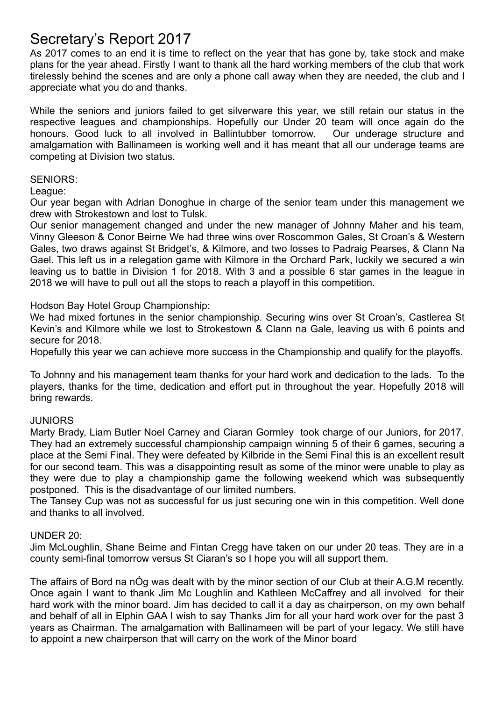# Secretary's Report 2017

As 2017 comes to an end it is time to reflect on the year that has gone by, take stock and make plans for the year ahead. Firstly I want to thank all the hard working members of the club that work tirelessly behind the scenes and are only a phone call away when they are needed, the club and I appreciate what you do and thanks.

While the seniors and juniors failed to get silverware this year, we still retain our status in the respective leagues and championships. Hopefully our Under 20 team will once again do the honours. Good luck to all involved in Ballintubber tomorrow. Our underage structure and amalgamation with Ballinameen is working well and it has meant that all our underage teams are competing at Division two status.

#### SENIORS:

League:

Our year began with Adrian Donoghue in charge of the senior team under this management we drew with Strokestown and lost to Tulsk.

Our senior management changed and under the new manager of Johnny Maher and his team, Vinny Gleeson & Conor Beirne We had three wins over Roscommon Gales, St Croan's & Western Gales, two draws against St Bridget's, & Kilmore, and two losses to Padraig Pearses, & Clann Na Gael. This left us in a relegation game with Kilmore in the Orchard Park, luckily we secured a win leaving us to battle in Division 1 for 2018. With 3 and a possible 6 star games in the league in 2018 we will have to pull out all the stops to reach a playoff in this competition.

Hodson Bay Hotel Group Championship:

We had mixed fortunes in the senior championship. Securing wins over St Croan's, Castlerea St Kevin's and Kilmore while we lost to Strokestown & Clann na Gale, leaving us with 6 points and secure for 2018.

Hopefully this year we can achieve more success in the Championship and qualify for the playoffs.

To Johnny and his management team thanks for your hard work and dedication to the lads. To the players, thanks for the time, dedication and effort put in throughout the year. Hopefully 2018 will bring rewards.

#### **JUNIORS**

Marty Brady, Liam Butler Noel Carney and Ciaran Gormley took charge of our Juniors, for 2017. They had an extremely successful championship campaign winning 5 of their 6 games, securing a place at the Semi Final. They were defeated by Kilbride in the Semi Final this is an excellent result for our second team. This was a disappointing result as some of the minor were unable to play as they were due to play a championship game the following weekend which was subsequently postponed. This is the disadvantage of our limited numbers.

The Tansey Cup was not as successful for us just securing one win in this competition. Well done and thanks to all involved.

#### UNDER 20:

Jim McLoughlin, Shane Beirne and Fintan Cregg have taken on our under 20 teas. They are in a county semi-final tomorrow versus St Ciaran's so I hope you will all support them.

The affairs of Bord na nÓg was dealt with by the minor section of our Club at their A.G.M recently. Once again I want to thank Jim Mc Loughlin and Kathleen McCaffrey and all involved for their hard work with the minor board. Jim has decided to call it a day as chairperson, on my own behalf and behalf of all in Elphin GAA I wish to say Thanks Jim for all your hard work over for the past 3 years as Chairman. The amalgamation with Ballinameen will be part of your legacy. We still have to appoint a new chairperson that will carry on the work of the Minor board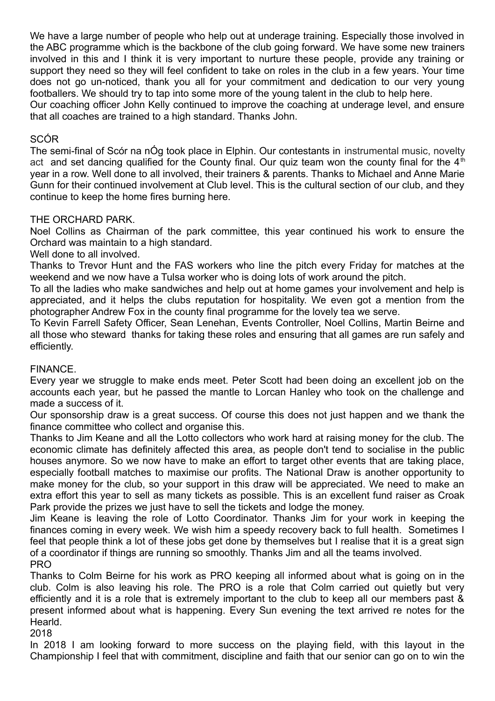We have a large number of people who help out at underage training. Especially those involved in the ABC programme which is the backbone of the club going forward. We have some new trainers involved in this and I think it is very important to nurture these people, provide any training or support they need so they will feel confident to take on roles in the club in a few years. Your time does not go un-noticed, thank you all for your commitment and dedication to our very young footballers. We should try to tap into some more of the young talent in the club to help here.

Our coaching officer John Kelly continued to improve the coaching at underage level, and ensure that all coaches are trained to a high standard. Thanks John.

## SCÓR

The semi-final of Scór na nÓg took place in Elphin. Our contestants in instrumental music, novelty act and set dancing qualified for the County final. Our quiz team won the county final for the  $4<sup>th</sup>$ year in a row. Well done to all involved, their trainers & parents. Thanks to Michael and Anne Marie Gunn for their continued involvement at Club level. This is the cultural section of our club, and they continue to keep the home fires burning here.

## THE ORCHARD PARK.

Noel Collins as Chairman of the park committee, this year continued his work to ensure the Orchard was maintain to a high standard.

Well done to all involved.

Thanks to Trevor Hunt and the FAS workers who line the pitch every Friday for matches at the weekend and we now have a Tulsa worker who is doing lots of work around the pitch.

To all the ladies who make sandwiches and help out at home games your involvement and help is appreciated, and it helps the clubs reputation for hospitality. We even got a mention from the photographer Andrew Fox in the county final programme for the lovely tea we serve.

To Kevin Farrell Safety Officer, Sean Lenehan, Events Controller, Noel Collins, Martin Beirne and all those who steward thanks for taking these roles and ensuring that all games are run safely and efficiently.

### FINANCE.

Every year we struggle to make ends meet. Peter Scott had been doing an excellent job on the accounts each year, but he passed the mantle to Lorcan Hanley who took on the challenge and made a success of it.

Our sponsorship draw is a great success. Of course this does not just happen and we thank the finance committee who collect and organise this.

Thanks to Jim Keane and all the Lotto collectors who work hard at raising money for the club. The economic climate has definitely affected this area, as people don't tend to socialise in the public houses anymore. So we now have to make an effort to target other events that are taking place, especially football matches to maximise our profits. The National Draw is another opportunity to make money for the club, so your support in this draw will be appreciated. We need to make an extra effort this year to sell as many tickets as possible. This is an excellent fund raiser as Croak Park provide the prizes we just have to sell the tickets and lodge the money.

Jim Keane is leaving the role of Lotto Coordinator. Thanks Jim for your work in keeping the finances coming in every week. We wish him a speedy recovery back to full health. Sometimes I feel that people think a lot of these jobs get done by themselves but I realise that it is a great sign of a coordinator if things are running so smoothly. Thanks Jim and all the teams involved. PRO

Thanks to Colm Beirne for his work as PRO keeping all informed about what is going on in the club. Colm is also leaving his role. The PRO is a role that Colm carried out quietly but very efficiently and it is a role that is extremely important to the club to keep all our members past & present informed about what is happening. Every Sun evening the text arrived re notes for the Hearld.

2018

In 2018 I am looking forward to more success on the playing field, with this layout in the Championship I feel that with commitment, discipline and faith that our senior can go on to win the